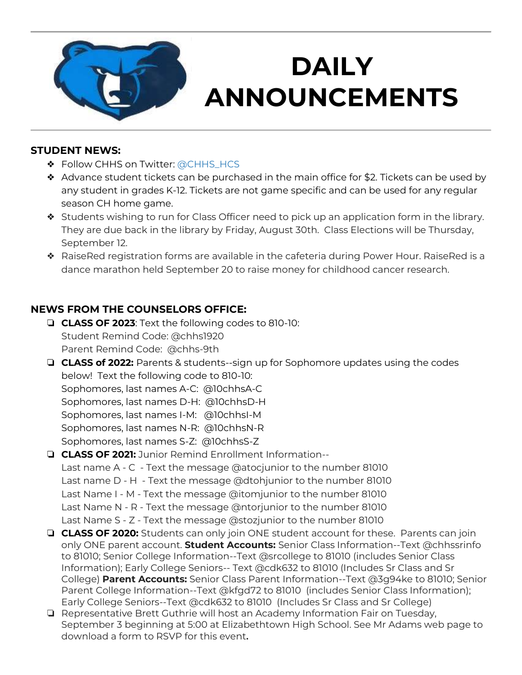

# **DAILY ANNOUNCEMENTS**

<u>August 28, 2019, 2019, 2019, 2019, 2019, 2019, 2019, 2019, 2019, 2019, 2019, 2019</u>

#### **STUDENT NEWS:**

- ❖ Follow CHHS on Twitter: [@CHHS\\_HCS](https://twitter.com/CHHS_HCS)
- ❖ Advance student tickets can be purchased in the main office for \$2. Tickets can be used by any student in grades K-12. Tickets are not game specific and can be used for any regular season CH home game.
- ❖ Students wishing to run for Class Officer need to pick up an application form in the library. They are due back in the library by Friday, August 30th. Class Elections will be Thursday, September 12.
- ❖ RaiseRed registration forms are available in the cafeteria during Power Hour. RaiseRed is a dance marathon held September 20 to raise money for childhood cancer research.

## **NEWS FROM THE COUNSELORS OFFICE:**

- ❏ **CLASS OF 2023**: Text the following codes to 810-10: Student Remind Code: @chhs1920 Parent Remind Code: @chhs-9th
- ❏ **CLASS of 2022:** Parents & students--sign up for Sophomore updates using the codes below! Text the following code to 810-10: Sophomores, last names A-C: @10chhsA-C

Sophomores, last names D-H: @10chhsD-H

Sophomores, last names I-M: @10chhsI-M Sophomores, last names N-R: @10chhsN-R

Sophomores, last names S-Z: @10chhsS-Z

## ❏ **CLASS OF 2021:** Junior Remind Enrollment Information--

Last name A - C - Text the message @atocjunior to the number 81010 Last name D - H - Text the message @dtohjunior to the number 81010 Last Name I - M - Text the message @itomjunior to the number 81010 Last Name N - R - Text the message @ntorjunior to the number 81010 Last Name S - Z - Text the message @stozjunior to the number 81010

- ❏ **CLASS OF 2020:** Students can only join ONE student account for these. Parents can join only ONE parent account. **Student Accounts:** Senior Class Information--Text @chhssrinfo to 81010; Senior College Information--Text @srcollege to 81010 (includes Senior Class Information); Early College Seniors-- Text @cdk632 to 81010 (Includes Sr Class and Sr College) **Parent Accounts:** Senior Class Parent Information--Text @3g94ke to 81010; Senior Parent College Information--Text @kfgd72 to 81010 (includes Senior Class Information); Early College Seniors--Text @cdk632 to 81010 (Includes Sr Class and Sr College)
- ❏ Representative Brett Guthrie will host an Academy Information Fair on Tuesday, September 3 beginning at 5:00 at Elizabethtown High School. See Mr Adams web page to download a form to RSVP for this event**.**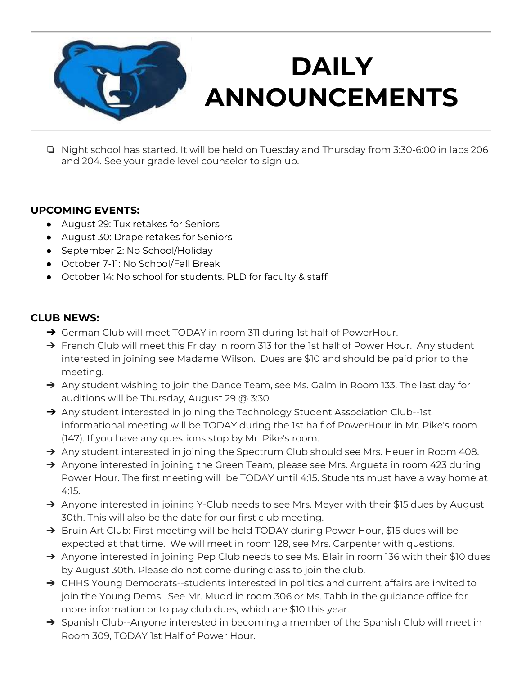

# **DAILY ANNOUNCEMENTS**

<u>August 28, 2019, 2019, 2019, 2019, 2019, 2019, 2019, 2019, 2019, 2019, 2019, 2019</u>

❏ Night school has started. It will be held on Tuesday and Thursday from 3:30-6:00 in labs 206 and 204. See your grade level counselor to sign up.

### **UPCOMING EVENTS:**

- August 29: Tux retakes for Seniors
- August 30: Drape retakes for Seniors
- September 2: No School/Holiday
- October 7-11: No School/Fall Break
- October 14: No school for students. PLD for faculty & staff

### **CLUB NEWS:**

- → German Club will meet TODAY in room 311 during 1st half of PowerHour.
- → French Club will meet this Friday in room 313 for the 1st half of Power Hour. Any student interested in joining see Madame Wilson. Dues are \$10 and should be paid prior to the meeting.
- → Any student wishing to join the Dance Team, see Ms. Galm in Room 133. The last day for auditions will be Thursday, August 29 @ 3:30.
- → Any student interested in joining the Technology Student Association Club--1st informational meeting will be TODAY during the 1st half of PowerHour in Mr. Pike's room (147). If you have any questions stop by Mr. Pike's room.
- → Any student interested in joining the Spectrum Club should see Mrs. Heuer in Room 408.
- → Anyone interested in joining the Green Team, please see Mrs. Argueta in room 423 during Power Hour. The first meeting will be TODAY until 4:15. Students must have a way home at 4:15.
- → Anyone interested in joining Y-Club needs to see Mrs. Meyer with their \$15 dues by August 30th. This will also be the date for our first club meeting.
- → Bruin Art Club: First meeting will be held TODAY during Power Hour, \$15 dues will be expected at that time. We will meet in room 128, see Mrs. Carpenter with questions.
- → Anyone interested in joining Pep Club needs to see Ms. Blair in room 136 with their \$10 dues by August 30th. Please do not come during class to join the club.
- → CHHS Young Democrats--students interested in politics and current affairs are invited to join the Young Dems! See Mr. Mudd in room 306 or Ms. Tabb in the guidance office for more information or to pay club dues, which are \$10 this year.
- → Spanish Club--Anyone interested in becoming a member of the Spanish Club will meet in Room 309, TODAY 1st Half of Power Hour.